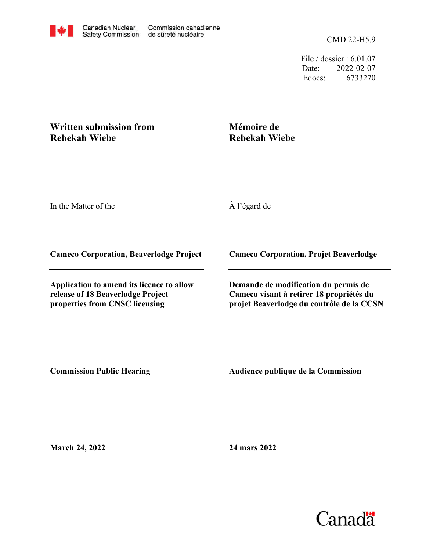File / dossier : 6.01.07 Date: 2022-02-07 Edocs: 6733270

## **Written submission from Rebekah Wiebe**

## **Mémoire de Rebekah Wiebe**

In the Matter of the

À l'égard de

**Cameco Corporation, Beaverlodge Project**

**Application to amend its licence to allow release of 18 Beaverlodge Project properties from CNSC licensing**

**Cameco Corporation, Projet Beaverlodge**

**Demande de modification du permis de Cameco visant à retirer 18 propriétés du projet Beaverlodge du contrôle de la CCSN**

**Commission Public Hearing**

**Audience publique de la Commission** 

**March 24, 2022**

**24 mars 2022**